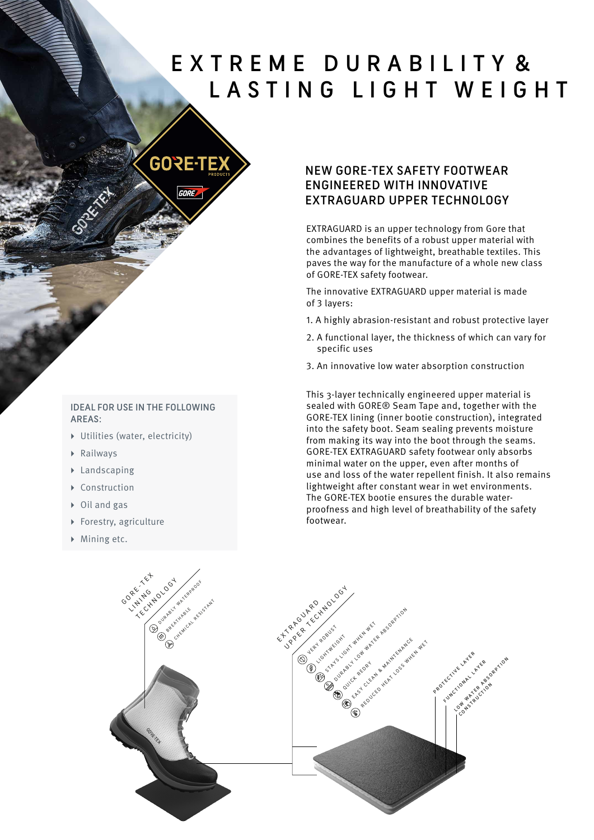## EXTREME DURABILITY & LASTING LIGHT WEIGHT



#### IDEAL FOR USE IN THE FOLLOWING AREAS:

- ▸ Utilities (water, electricity)
- ▸ Railways
- ▸ Landscaping
- ▸ Construction
- ▸ Oil and gas
- ▸ Forestry, agriculture
- ▸ Mining etc.

#### NEW GORE-TEX SAFETY FOOTWEAR ENGINEERED WITH INNOVATIVE EXTRAGUARD UPPER TECHNOLOGY

EXTRAGUARD is an upper technology from Gore that combines the benefits of a robust upper material with the advantages of lightweight, breathable textiles. This paves the way for the manufacture of a whole new class of GORE-TEX safety footwear.

The innovative EXTRAGUARD upper material is made of 3 layers:

- 1. A highly abrasion-resistant and robust protective layer
- 2. A functional layer, the thickness of which can vary for specific uses
- 3. An innovative low water absorption construction

This 3-layer technically engineered upper material is sealed with GORE® Seam Tape and, together with the GORE-TEX lining (inner bootie construction), integrated into the safety boot. Seam sealing prevents moisture from making its way into the boot through the seams. GORE-TEX EXTRAGUARD safety footwear only absorbs minimal water on the upper, even after months of use and loss of the water repellent finish. It also remains lightweight after constant wear in wet environments. The GORE-TEX bootie ensures the durable waterproofness and high level of breathability of the safety footwear.